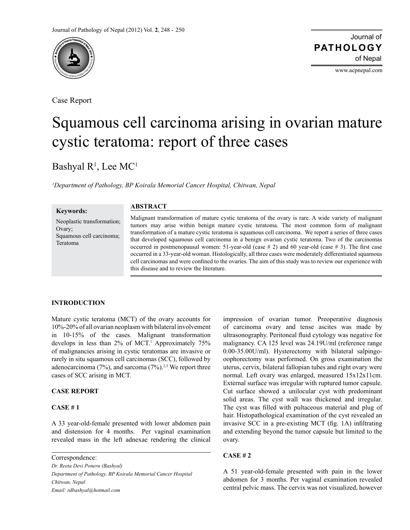

Case Report

www.acpnepal.com

# Squamous cell carcinoma arising in ovarian mature cystic teratoma: report of three cases

Bashyal R<sup>1</sup>, Lee MC<sup>1</sup>

*1 Department of Pathology, BP Koirala Memorial Cancer Hospital, Chitwan, Nepal*

#### **Keywords:**

Neoplastic transformation; Ovary; Squamous cell carcinoma; Teratoma

## **ABSTRACT**

Malignant transformation of mature cystic teratoma of the ovary is rare. A wide variety of malignant tumors may arise within benign mature cystic teratoma. The most common form of malignant transformation of a mature cystic teratoma is squamous cell carcinoma. We report a series of three cases that developed squamous cell carcinoma in a benign ovarian cystic teratoma. Two of the carcinomas occurred in postmenopausal women:  $51$ -year-old (case  $# 2$ ) and  $60$  year-old (case  $# 3$ ). The first case occurred in a 33-year-old woman. Histologically, all three cases were moderately differentiated squamous cell carcinomas and were confined to the ovaries. The aim of this study was to review our experience with this disease and to review the literature.

## **INTRODUCTION**

Mature cystic teratoma (MCT) of the ovary accounts for 10%-20% of all ovarian neoplasm with bilateral involvement in 10-15% of the cases. Malignant transformation develops in less than 2% of MCT.1 Approximately 75% of malignancies arising in cystic teratomas are invasive or rarely in situ squamous cell carcinomas (SCC), followed by adenocarcinoma (7%), and sarcoma (7%).<sup>2,3</sup> We report three cases of SCC arising in MCT.

# **Case Report**

## **Case # 1**

A 33 year-old-female presented with lower abdomen pain and distension for 4 months. Per vaginal examination revealed mass in the left adnexae rendering the clinical

Correspondence:

*Dr. Reeta Devi Poneru (Bashyal)*

*Department of Pathology, BP Koirala Memorial Cancer Hospital Chitwan, Nepal Email: rdbashyal@hotmail.com* 

impression of ovarian tumor. Preoperative diagnosis of carcinoma ovary and tense ascites was made by ultrasonography. Peritoneal fluid cytology was negative for malignancy. CA 125 level was 24.19U/ml (reference range 0.00-35.00U/ml). Hysterectomy with bilateral salpingooophorectomy was performed. On gross examination the uterus, cervix, bilateral fallopian tubes and right ovary were normal. Left ovary was enlarged, measured 15x12x11cm. External surface was irregular with ruptured tumor capsule. Cut surface showed a unilocular cyst with predominant solid areas. The cyst wall was thickened and irregular. The cyst was filled with pultaceous material and plug of hair. Histopathological examination of the cyst revealed an invasive SCC in a pre-existing MCT (fig. 1A) infiltrating and extending beyond the tumor capsule but limited to the ovary.

## **Case # 2**

A 51 year-old-female presented with pain in the lower abdomen for 3 months. Per vaginal examination revealed central pelvic mass. The cervix was not visualized, however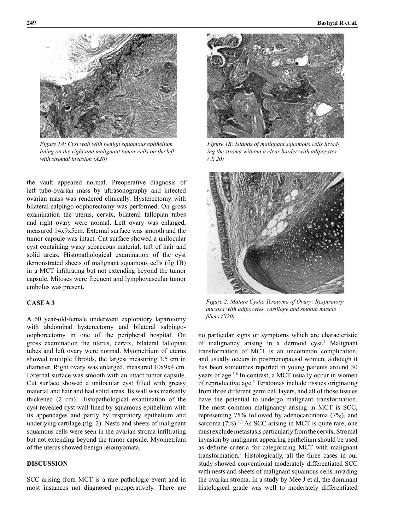

*Figure 1A: Cyst wall with benign squamous epithelium lining on the right and malignant tumor cells on the left with stromal invasion (X20)*

the vault appeared normal. Preoperative diagnosis of left tubo-ovarian mass by ultrasonography and infected ovarian mass was rendered clinically. Hysterectomy with bilateral salpingo-oophorectomy was performed. On gross examination the uterus, cervix, bilateral fallopian tubes and right ovary were normal. Left ovary was enlarged, measured 14x9x5cm. External surface was smooth and the tumor capsule was intact. Cut surface showed a unilocular cyst containing waxy sebaceous material, tuft of hair and solid areas. Histopathological examination of the cyst demonstrated sheets of malignant squamous cells (fig.1B) in a MCT infiltrating but not extending beyond the tumor capsule. Mitoses were frequent and lymphovascular tumor embolus was present.

## **Case # 3**

A 60 year-old-female underwent exploratory laparotomy with abdominal hysterectomy and bilateral salpingooophorectomy in one of the peripheral hospital. On gross examination the uterus, cervix, bilateral fallopian tubes and left ovary were normal. Myometrium of uterus showed multiple fibroids, the largest measuring 3.5 cm in diameter. Right ovary was enlarged, measured 10x9x4 cm. External surface was smooth with an intact tumor capsule. Cut surface showed a unilocular cyst filled with greasy material and hair and had solid areas. Its wall was markedly thickened (2 cm). Histopathological examination of the cyst revealed cyst wall lined by squamous epithelium with its appendages and partly by respiratory epithelium and underlying cartilage (fig. 2). Nests and sheets of malignant squamous cells were seen in the ovarian stroma infiltrating but not extending beyond the tumor capsule. Myometrium of the uterus showed benign leiomyomata.

# **DISCUSSION**

SCC arising from MCT is a rare pathologic event and in most instances not diagnosed preoperatively. There are



*Figure 1B: Islands of malignant squamous cells invading the stroma without a clear border with adipocytes ( X 20)*



*Figure 2: Mature Cystic Teratoma of Ovary: Respiratory mucosa with adipocytes, cartilage and smooth muscle fibers (X20)*

no particular signs or symptoms which are characteristic of malignancy arising in a dermoid cyst.<sup>4</sup> Malignant transformation of MCT is an uncommon complication, and usually occurs in postmenopausal women, although it has been sometimes reported in young patients around 30 years of age.<sup>5,6</sup> In contrast, a MCT usually occur in women of reproductive age.<sup>7</sup> Teratomas include tissues originating from three different germ cell layers, and all of those tissues have the potential to undergo malignant transformation. The most common malignancy arising in MCT is SCC, representing 75% followed by adenocarcinoma (7%), and sarcoma  $(7\%)$ .<sup>2,3</sup> As SCC arising in MCT is quite rare, one must exclude metastasis particularly from the cervix. Stromal invasion by malignant appearing epithelium should be used as definite criteria for categorizing MCT with malignant transformation.8 Histologically, all the three cases in our study showed conventional moderately differentiated SCC with nests and sheets of malignant squamous cells invading the ovarian stroma. In a study by Mee J et al, the dominant histological grade was well to moderately differentiated